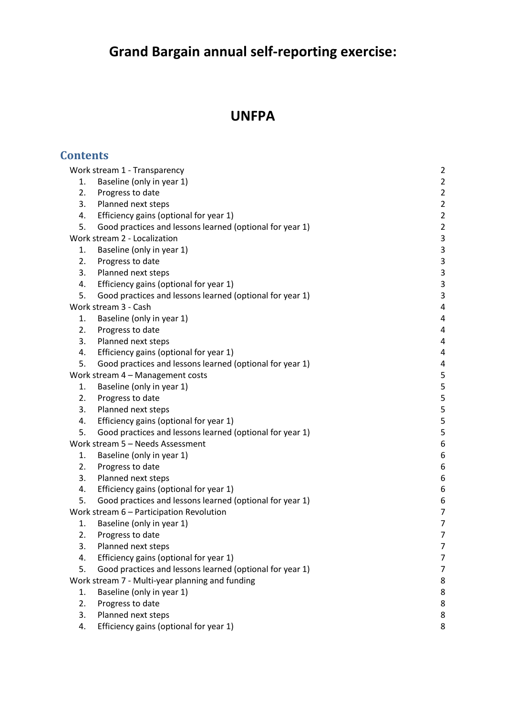# **Grand Bargain annual self-reporting exercise:**

# **UNFPA**

| <b>Contents</b>                                 |                                                          |                           |
|-------------------------------------------------|----------------------------------------------------------|---------------------------|
|                                                 | Work stream 1 - Transparency                             | $\overline{2}$            |
| 1.                                              | Baseline (only in year 1)                                | $\overline{2}$            |
| 2.                                              | Progress to date                                         | $\overline{2}$            |
| 3.                                              | Planned next steps                                       | $\overline{2}$            |
| 4.                                              | Efficiency gains (optional for year 1)                   | $\overline{2}$            |
| 5.                                              | Good practices and lessons learned (optional for year 1) | $\overline{2}$            |
| Work stream 2 - Localization                    |                                                          | $\mathsf 3$               |
| 1.                                              | Baseline (only in year 1)                                | $\ensuremath{\mathsf{3}}$ |
| 2.                                              | Progress to date                                         | $\mathsf 3$               |
| 3.                                              | Planned next steps                                       | $\overline{3}$            |
| 4.                                              | Efficiency gains (optional for year 1)                   | $\mathsf 3$               |
| 5.                                              | Good practices and lessons learned (optional for year 1) | $\mathsf 3$               |
|                                                 | Work stream 3 - Cash                                     | 4                         |
| 1.                                              | Baseline (only in year 1)                                | $\sqrt{4}$                |
| 2.                                              | Progress to date                                         | $\overline{4}$            |
| 3.                                              | Planned next steps                                       | 4                         |
| 4.                                              | Efficiency gains (optional for year 1)                   | $\overline{4}$            |
| 5.                                              | Good practices and lessons learned (optional for year 1) | $\overline{4}$            |
| Work stream 4 - Management costs                |                                                          | $\mathsf S$               |
| 1.                                              | Baseline (only in year 1)                                | 5                         |
| 2.                                              | Progress to date                                         | $\mathsf S$               |
| 3.                                              | Planned next steps                                       | 5                         |
| 4.                                              | Efficiency gains (optional for year 1)                   | $\mathsf S$               |
| 5.                                              | Good practices and lessons learned (optional for year 1) | 5                         |
|                                                 | Work stream 5 - Needs Assessment                         | $\boldsymbol{6}$          |
| 1.                                              | Baseline (only in year 1)                                | 6                         |
| 2.                                              | Progress to date                                         | $\boldsymbol{6}$          |
| 3.                                              | Planned next steps                                       | 6                         |
| 4.                                              | Efficiency gains (optional for year 1)                   | 6                         |
| 5.                                              | Good practices and lessons learned (optional for year 1) | 6                         |
|                                                 | Work stream 6 - Participation Revolution                 | $\overline{7}$            |
| 1.                                              | Baseline (only in year 1)                                | 7                         |
| 2.                                              | Progress to date                                         | 7                         |
| 3.                                              | Planned next steps                                       | 7                         |
| 4.                                              | Efficiency gains (optional for year 1)                   | 7                         |
| 5.                                              | Good practices and lessons learned (optional for year 1) | 7                         |
| Work stream 7 - Multi-year planning and funding |                                                          | 8                         |
| 1.                                              | Baseline (only in year 1)                                | 8                         |
| 2.                                              | Progress to date                                         | 8                         |
| 3.                                              | Planned next steps                                       | 8                         |
| 4.                                              | Efficiency gains (optional for year 1)                   | 8                         |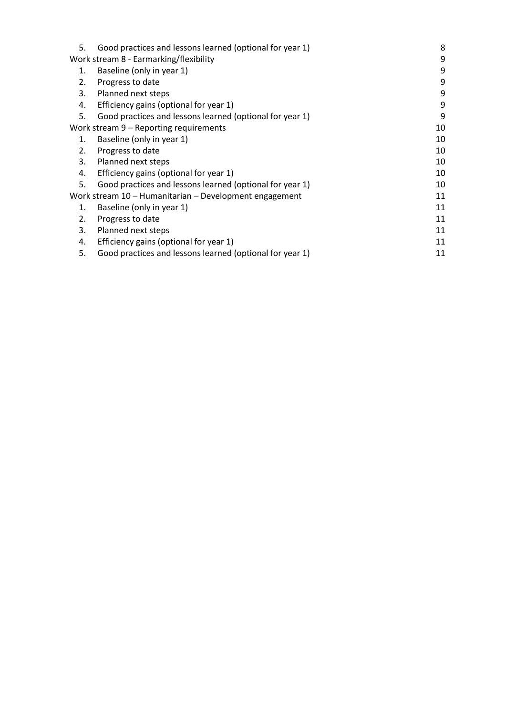| 5.                                                     | Good practices and lessons learned (optional for year 1) | 8  |
|--------------------------------------------------------|----------------------------------------------------------|----|
| Work stream 8 - Earmarking/flexibility                 |                                                          | 9  |
| 1.                                                     | Baseline (only in year 1)                                | 9  |
| 2.                                                     | Progress to date                                         | 9  |
| 3.                                                     | Planned next steps                                       | 9  |
| 4.                                                     | Efficiency gains (optional for year 1)                   | 9  |
| 5.                                                     | Good practices and lessons learned (optional for year 1) | 9  |
| Work stream 9 – Reporting requirements                 |                                                          | 10 |
| 1.                                                     | Baseline (only in year 1)                                | 10 |
| 2.                                                     | Progress to date                                         | 10 |
| 3.                                                     | Planned next steps                                       | 10 |
| 4.                                                     | Efficiency gains (optional for year 1)                   | 10 |
| 5.                                                     | Good practices and lessons learned (optional for year 1) | 10 |
| Work stream 10 - Humanitarian - Development engagement |                                                          | 11 |
| 1.                                                     | Baseline (only in year 1)                                | 11 |
| 2.                                                     | Progress to date                                         | 11 |
| 3.                                                     | Planned next steps                                       | 11 |
| 4.                                                     | Efficiency gains (optional for year 1)                   | 11 |
| 5.                                                     | Good practices and lessons learned (optional for year 1) | 11 |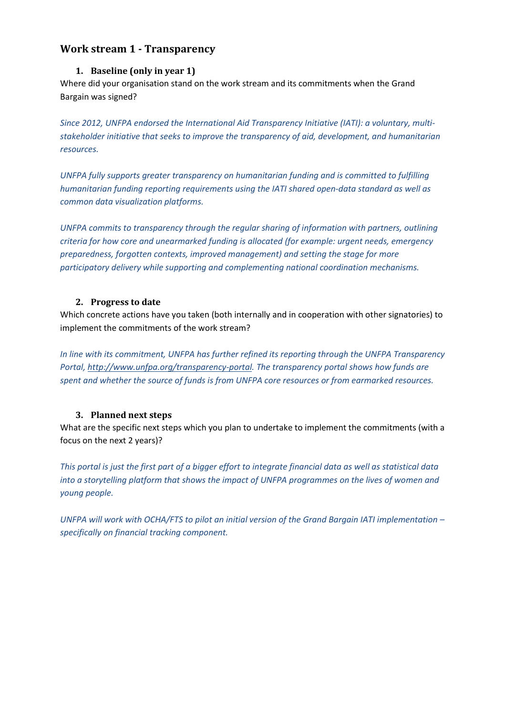# <span id="page-2-1"></span><span id="page-2-0"></span>**Work stream 1 - Transparency**

#### **1. Baseline (only in year 1)**

Where did your organisation stand on the work stream and its commitments when the Grand Bargain was signed?

*Since 2012, UNFPA endorsed the International Aid Transparency Initiative (IATI): a voluntary, multistakeholder initiative that seeks to improve the transparency of aid, development, and humanitarian resources.*

*UNFPA fully supports greater transparency on humanitarian funding and is committed to fulfilling humanitarian funding reporting requirements using the IATI shared open-data standard as well as common data visualization platforms.*

*UNFPA commits to transparency through the regular sharing of information with partners, outlining criteria for how core and unearmarked funding is allocated (for example: urgent needs, emergency preparedness, forgotten contexts, improved management) and setting the stage for more participatory delivery while supporting and complementing national coordination mechanisms.* 

#### <span id="page-2-2"></span>**2. Progress to date**

Which concrete actions have you taken (both internally and in cooperation with other signatories) to implement the commitments of the work stream?

*In line with its commitment, UNFPA has further refined its reporting through the UNFPA Transparency Portal, [http://www.unfpa.org/transparency-portal.](http://www.unfpa.org/transparency-portal) The transparency portal shows how funds are spent and whether the source of funds is from UNFPA core resources or from earmarked resources.* 

## <span id="page-2-3"></span>**3. Planned next steps**

What are the specific next steps which you plan to undertake to implement the commitments (with a focus on the next 2 years)?

*This portal is just the first part of a bigger effort to integrate financial data as well as statistical data into a storytelling platform that shows the impact of UNFPA programmes on the lives of women and young people.* 

<span id="page-2-4"></span>*UNFPA will work with OCHA/FTS to pilot an initial version of the Grand Bargain IATI implementation – specifically on financial tracking component.*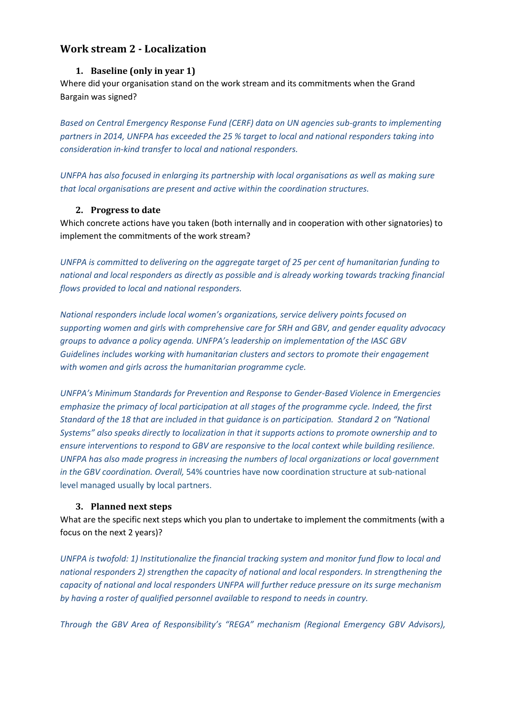# <span id="page-3-1"></span><span id="page-3-0"></span>**Work stream 2 - Localization**

#### **1. Baseline (only in year 1)**

Where did your organisation stand on the work stream and its commitments when the Grand Bargain was signed?

*Based on Central Emergency Response Fund (CERF) data on UN agencies sub-grants to implementing partners in 2014, UNFPA has exceeded the 25 % target to local and national responders taking into consideration in-kind transfer to local and national responders.*

*UNFPA has also focused in enlarging its partnership with local organisations as well as making sure that local organisations are present and active within the coordination structures.*

#### <span id="page-3-2"></span>**2. Progress to date**

Which concrete actions have you taken (both internally and in cooperation with other signatories) to implement the commitments of the work stream?

*UNFPA is committed to delivering on the aggregate target of 25 per cent of humanitarian funding to national and local responders as directly as possible and is already working towards tracking financial flows provided to local and national responders.*

*National responders include local women's organizations, service delivery points focused on supporting women and girls with comprehensive care for SRH and GBV, and gender equality advocacy groups to advance a policy agenda. UNFPA's leadership on implementation of the IASC GBV Guidelines includes working with humanitarian clusters and sectors to promote their engagement with women and girls across the humanitarian programme cycle.*

*UNFPA's Minimum Standards for Prevention and Response to Gender-Based Violence in Emergencies emphasize the primacy of local participation at all stages of the programme cycle. Indeed, the first Standard of the 18 that are included in that guidance is on participation. Standard 2 on "National Systems" also speaks directly to localization in that it supports actions to promote ownership and to ensure interventions to respond to GBV are responsive to the local context while building resilience. UNFPA has also made progress in increasing the numbers of local organizations or local government in the GBV coordination. Overall,* 54% countries have now coordination structure at sub-national level managed usually by local partners.

## <span id="page-3-3"></span>**3. Planned next steps**

What are the specific next steps which you plan to undertake to implement the commitments (with a focus on the next 2 years)?

*UNFPA is twofold: 1) Institutionalize the financial tracking system and monitor fund flow to local and national responders 2) strengthen the capacity of national and local responders. In strengthening the capacity of national and local responders UNFPA will further reduce pressure on its surge mechanism by having a roster of qualified personnel available to respond to needs in country.*

*Through the GBV Area of Responsibility's "REGA" mechanism (Regional Emergency GBV Advisors),*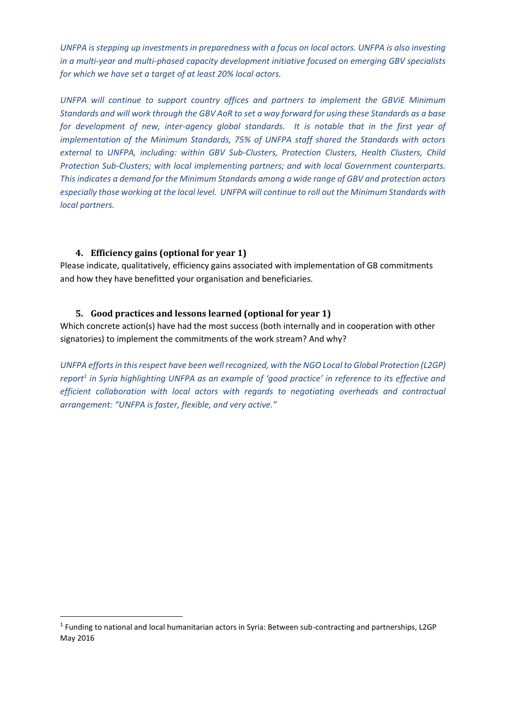*UNFPA is stepping up investments in preparedness with a focus on local actors. UNFPA is also investing in a multi-year and multi-phased capacity development initiative focused on emerging GBV specialists for which we have set a target of at least 20% local actors.*

*UNFPA will continue to support country offices and partners to implement the GBViE Minimum Standards and will work through the GBV AoR to set a way forward for using these Standards as a base for development of new, inter-agency global standards. It is notable that in the first year of implementation of the Minimum Standards, 75% of UNFPA staff shared the Standards with actors external to UNFPA, including: within GBV Sub-Clusters, Protection Clusters, Health Clusters, Child Protection Sub-Clusters; with local implementing partners; and with local Government counterparts. This indicates a demand for the Minimum Standards among a wide range of GBV and protection actors especially those working at the local level. UNFPA will continue to roll out the Minimum Standards with local partners.*

#### <span id="page-4-0"></span>**4. Efficiency gains (optional for year 1)**

**.** 

Please indicate, qualitatively, efficiency gains associated with implementation of GB commitments and how they have benefitted your organisation and beneficiaries.

#### <span id="page-4-1"></span>**5. Good practices and lessons learned (optional for year 1)**

Which concrete action(s) have had the most success (both internally and in cooperation with other signatories) to implement the commitments of the work stream? And why?

*UNFPA efforts in this respect have been well recognized, with the NGO Local to Global Protection (L2GP) report<sup>1</sup> in Syria highlighting UNFPA as an example of 'good practice' in reference to its effective and efficient collaboration with local actors with regards to negotiating overheads and contractual arrangement: "UNFPA is faster, flexible, and very active."* 

<sup>&</sup>lt;sup>1</sup> Funding to national and local humanitarian actors in Syria: Between sub-contracting and partnerships, L2GP May 2016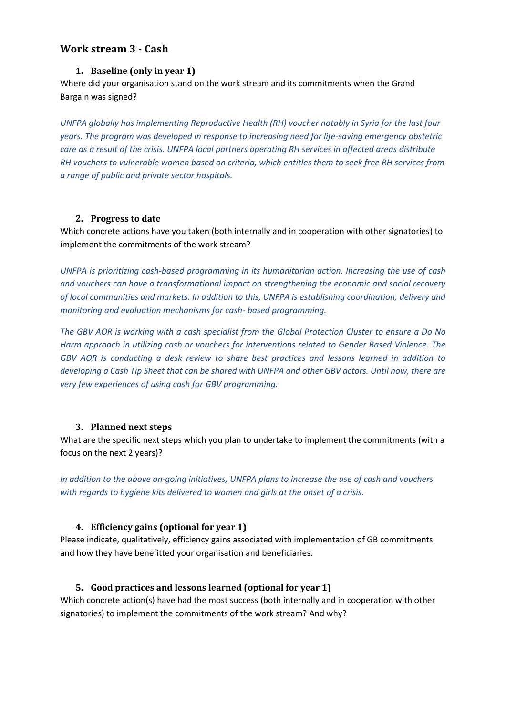## <span id="page-5-1"></span><span id="page-5-0"></span>**Work stream 3 - Cash**

#### **1. Baseline (only in year 1)**

Where did your organisation stand on the work stream and its commitments when the Grand Bargain was signed?

*UNFPA globally has implementing Reproductive Health (RH) voucher notably in Syria for the last four years. The program was developed in response to increasing need for life-saving emergency obstetric care as a result of the crisis. UNFPA local partners operating RH services in affected areas distribute RH vouchers to vulnerable women based on criteria, which entitles them to seek free RH services from a range of public and private sector hospitals.*

#### <span id="page-5-2"></span>**2. Progress to date**

Which concrete actions have you taken (both internally and in cooperation with other signatories) to implement the commitments of the work stream?

*UNFPA is prioritizing cash-based programming in its humanitarian action. Increasing the use of cash and vouchers can have a transformational impact on strengthening the economic and social recovery of local communities and markets. In addition to this, UNFPA is establishing coordination, delivery and monitoring and evaluation mechanisms for cash- based programming.* 

*The GBV AOR is working with a cash specialist from the Global Protection Cluster to ensure a Do No Harm approach in utilizing cash or vouchers for interventions related to Gender Based Violence. The GBV AOR is conducting a desk review to share best practices and lessons learned in addition to developing a Cash Tip Sheet that can be shared with UNFPA and other GBV actors. Until now, there are very few experiences of using cash for GBV programming.*

#### <span id="page-5-3"></span>**3. Planned next steps**

What are the specific next steps which you plan to undertake to implement the commitments (with a focus on the next 2 years)?

*In addition to the above on-going initiatives, UNFPA plans to increase the use of cash and vouchers with regards to hygiene kits delivered to women and girls at the onset of a crisis.*

#### <span id="page-5-4"></span>**4. Efficiency gains (optional for year 1)**

Please indicate, qualitatively, efficiency gains associated with implementation of GB commitments and how they have benefitted your organisation and beneficiaries.

#### <span id="page-5-5"></span>**5. Good practices and lessons learned (optional for year 1)**

Which concrete action(s) have had the most success (both internally and in cooperation with other signatories) to implement the commitments of the work stream? And why?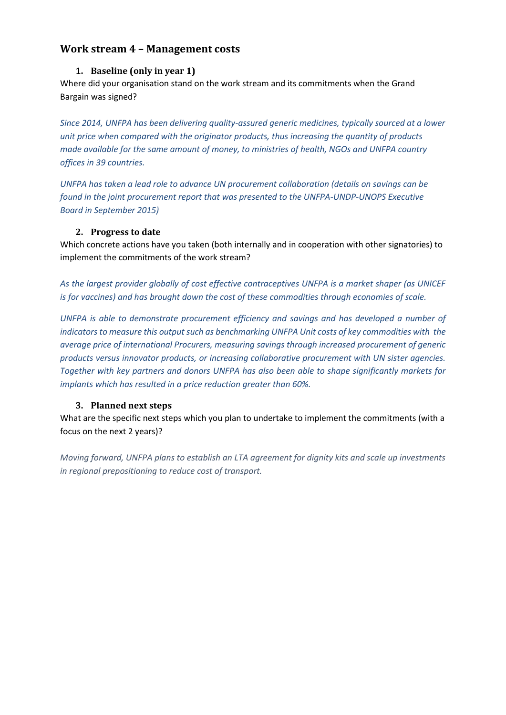# <span id="page-6-1"></span><span id="page-6-0"></span>**Work stream 4 – Management costs**

#### **1. Baseline (only in year 1)**

Where did your organisation stand on the work stream and its commitments when the Grand Bargain was signed?

*Since 2014, UNFPA has been delivering quality-assured generic medicines, typically sourced at a lower unit price when compared with the originator products, thus increasing the quantity of products made available for the same amount of money, to ministries of health, NGOs and UNFPA country offices in 39 countries.*

*UNFPA has taken a lead role to advance UN procurement collaboration (details on savings can be found in the joint procurement report that was presented to the UNFPA-UNDP-UNOPS Executive Board in September 2015)*

#### **2. Progress to date**

<span id="page-6-2"></span>Which concrete actions have you taken (both internally and in cooperation with other signatories) to implement the commitments of the work stream?

*As the largest provider globally of cost effective contraceptives UNFPA is a market shaper (as UNICEF is for vaccines) and has brought down the cost of these commodities through economies of scale.* 

*UNFPA is able to demonstrate procurement efficiency and savings and has developed a number of indicators to measure this output such as benchmarking UNFPA Unit costs of key commodities with the average price of international Procurers, measuring savings through increased procurement of generic products versus innovator products, or increasing collaborative procurement with UN sister agencies. Together with key partners and donors UNFPA has also been able to shape significantly markets for implants which has resulted in a price reduction greater than 60%.*

## <span id="page-6-3"></span>**3. Planned next steps**

What are the specific next steps which you plan to undertake to implement the commitments (with a focus on the next 2 years)?

<span id="page-6-4"></span>*Moving forward, UNFPA plans to establish an LTA agreement for dignity kits and scale up investments in regional prepositioning to reduce cost of transport.*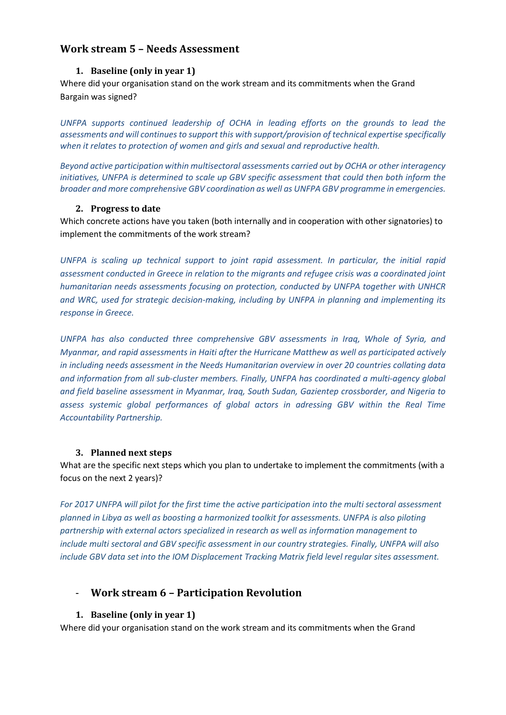# <span id="page-7-0"></span>**Work stream 5 – Needs Assessment**

#### **1. Baseline (only in year 1)**

Where did your organisation stand on the work stream and its commitments when the Grand Bargain was signed?

*UNFPA supports continued leadership of OCHA in leading efforts on the grounds to lead the assessments and will continues to support this with support/provision of technical expertise specifically when it relates to protection of women and girls and sexual and reproductive health.* 

*Beyond active participation within multisectoral assessments carried out by OCHA or other interagency initiatives, UNFPA is determined to scale up GBV specific assessment that could then both inform the broader and more comprehensive GBV coordination as well as UNFPA GBV programme in emergencies.* 

#### **2. Progress to date**

<span id="page-7-1"></span>Which concrete actions have you taken (both internally and in cooperation with other signatories) to implement the commitments of the work stream?

*UNFPA is scaling up technical support to joint rapid assessment. In particular, the initial rapid assessment conducted in Greece in relation to the migrants and refugee crisis was a coordinated joint humanitarian needs assessments focusing on protection, conducted by UNFPA together with UNHCR and WRC, used for strategic decision-making, including by UNFPA in planning and implementing its response in Greece.*

*UNFPA has also conducted three comprehensive GBV assessments in Iraq, Whole of Syria, and Myanmar, and rapid assessments in Haiti after the Hurricane Matthew as well as participated actively in including needs assessment in the Needs Humanitarian overview in over 20 countries collating data and information from all sub-cluster members. Finally, UNFPA has coordinated a multi-agency global and field baseline assessment in Myanmar, Iraq, South Sudan, Gazientep crossborder, and Nigeria to assess systemic global performances of global actors in adressing GBV within the Real Time Accountability Partnership.* 

## <span id="page-7-2"></span>**3. Planned next steps**

What are the specific next steps which you plan to undertake to implement the commitments (with a focus on the next 2 years)?

*For 2017 UNFPA will pilot for the first time the active participation into the multi sectoral assessment planned in Libya as well as boosting a harmonized toolkit for assessments. UNFPA is also piloting partnership with external actors specialized in research as well as information management to include multi sectoral and GBV specific assessment in our country strategies. Finally, UNFPA will also include GBV data set into the IOM Displacement Tracking Matrix field level regular sites assessment.* 

# <span id="page-7-3"></span>- **Work stream 6 – Participation Revolution**

## <span id="page-7-4"></span>**1. Baseline (only in year 1)**

Where did your organisation stand on the work stream and its commitments when the Grand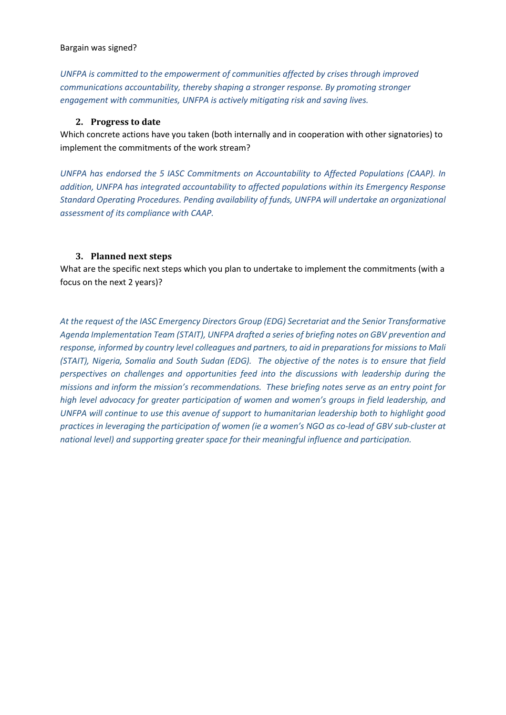#### Bargain was signed?

*UNFPA is committed to the empowerment of communities affected by crises through improved communications accountability, thereby shaping a stronger response. By promoting stronger engagement with communities, UNFPA is actively mitigating risk and saving lives.*

#### <span id="page-8-0"></span>**2. Progress to date**

Which concrete actions have you taken (both internally and in cooperation with other signatories) to implement the commitments of the work stream?

*UNFPA has endorsed the 5 IASC Commitments on Accountability to Affected Populations (CAAP). In addition, UNFPA has integrated accountability to affected populations within its Emergency Response Standard Operating Procedures. Pending availability of funds, UNFPA will undertake an organizational assessment of its compliance with CAAP.* 

#### <span id="page-8-1"></span>**3. Planned next steps**

What are the specific next steps which you plan to undertake to implement the commitments (with a focus on the next 2 years)?

*At the request of the IASC Emergency Directors Group (EDG) Secretariat and the Senior Transformative Agenda Implementation Team (STAIT), UNFPA drafted a series of briefing notes on GBV prevention and response, informed by country level colleagues and partners, to aid in preparations for missions to Mali (STAIT), Nigeria, Somalia and South Sudan (EDG). The objective of the notes is to ensure that field perspectives on challenges and opportunities feed into the discussions with leadership during the missions and inform the mission's recommendations. These briefing notes serve as an entry point for high level advocacy for greater participation of women and women's groups in field leadership, and UNFPA will continue to use this avenue of support to humanitarian leadership both to highlight good practices in leveraging the participation of women (ie a women's NGO as co-lead of GBV sub-cluster at national level) and supporting greater space for their meaningful influence and participation.*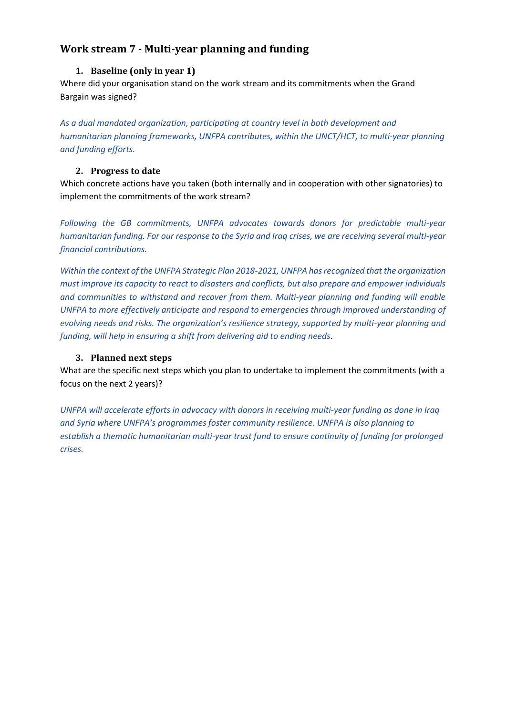# <span id="page-9-1"></span><span id="page-9-0"></span>**Work stream 7 - Multi-year planning and funding**

## **1. Baseline (only in year 1)**

Where did your organisation stand on the work stream and its commitments when the Grand Bargain was signed?

*As a dual mandated organization, participating at country level in both development and humanitarian planning frameworks, UNFPA contributes, within the UNCT/HCT, to multi-year planning and funding efforts.*

#### <span id="page-9-2"></span>**2. Progress to date**

Which concrete actions have you taken (both internally and in cooperation with other signatories) to implement the commitments of the work stream?

*Following the GB commitments, UNFPA advocates towards donors for predictable multi-year humanitarian funding. For our response to the Syria and Iraq crises, we are receiving several multi-year financial contributions.* 

*Within the context of the UNFPA Strategic Plan 2018-2021, UNFPA has recognized that the organization must improve its capacity to react to disasters and conflicts, but also prepare and empower individuals and communities to withstand and recover from them. Multi-year planning and funding will enable UNFPA to more effectively anticipate and respond to emergencies through improved understanding of evolving needs and risks. The organization's resilience strategy, supported by multi-year planning and funding, will help in ensuring a shift from delivering aid to ending needs*.

#### <span id="page-9-3"></span>**3. Planned next steps**

What are the specific next steps which you plan to undertake to implement the commitments (with a focus on the next 2 years)?

<span id="page-9-4"></span>*UNFPA will accelerate efforts in advocacy with donors in receiving multi-year funding as done in Iraq and Syria where UNFPA's programmes foster community resilience. UNFPA is also planning to establish a thematic humanitarian multi-year trust fund to ensure continuity of funding for prolonged crises.*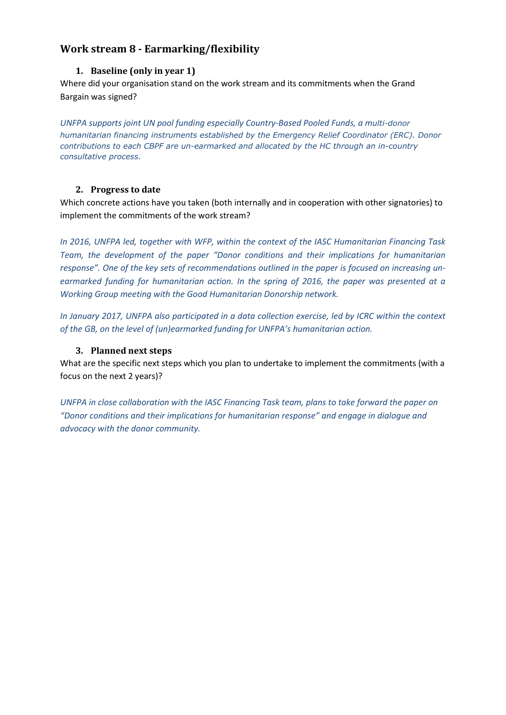# <span id="page-10-1"></span><span id="page-10-0"></span>**Work stream 8 - Earmarking/flexibility**

## **1. Baseline (only in year 1)**

Where did your organisation stand on the work stream and its commitments when the Grand Bargain was signed?

*UNFPA supports joint UN pool funding especially Country-Based Pooled Funds, a multi-donor humanitarian financing instruments established by the Emergency Relief Coordinator (ERC). Donor contributions to each CBPF are un-earmarked and allocated by the HC through an in-country consultative process.*

## <span id="page-10-2"></span>**2. Progress to date**

Which concrete actions have you taken (both internally and in cooperation with other signatories) to implement the commitments of the work stream?

*In 2016, UNFPA led, together with WFP, within the context of the IASC Humanitarian Financing Task Team, the development of the paper "Donor conditions and their implications for humanitarian response". One of the key sets of recommendations outlined in the paper is focused on increasing unearmarked funding for humanitarian action. In the spring of 2016, the paper was presented at a Working Group meeting with the Good Humanitarian Donorship network.* 

*In January 2017, UNFPA also participated in a data collection exercise, led by ICRC within the context of the GB, on the level of (un)earmarked funding for UNFPA's humanitarian action.* 

## **3. Planned next steps**

<span id="page-10-3"></span>What are the specific next steps which you plan to undertake to implement the commitments (with a focus on the next 2 years)?

<span id="page-10-4"></span>*UNFPA in close collaboration with the IASC Financing Task team, plans to take forward the paper on "Donor conditions and their implications for humanitarian response" and engage in dialogue and advocacy with the donor community.*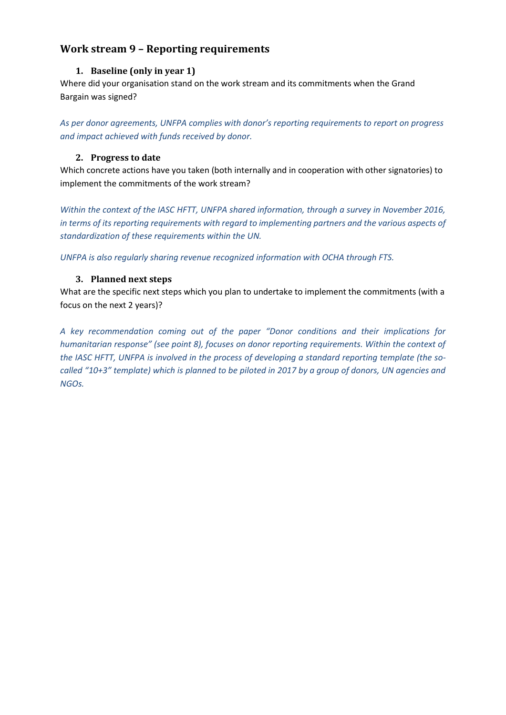# <span id="page-11-1"></span><span id="page-11-0"></span>**Work stream 9 – Reporting requirements**

## **1. Baseline (only in year 1)**

Where did your organisation stand on the work stream and its commitments when the Grand Bargain was signed?

*As per donor agreements, UNFPA complies with donor's reporting requirements to report on progress and impact achieved with funds received by donor.*

## <span id="page-11-2"></span>**2. Progress to date**

Which concrete actions have you taken (both internally and in cooperation with other signatories) to implement the commitments of the work stream?

*Within the context of the IASC HFTT, UNFPA shared information, through a survey in November 2016, in terms of its reporting requirements with regard to implementing partners and the various aspects of standardization of these requirements within the UN.* 

<span id="page-11-3"></span>*UNFPA is also regularly sharing revenue recognized information with OCHA through FTS.*

## **3. Planned next steps**

What are the specific next steps which you plan to undertake to implement the commitments (with a focus on the next 2 years)?

<span id="page-11-4"></span>*A key recommendation coming out of the paper "Donor conditions and their implications for humanitarian response" (see point 8), focuses on donor reporting requirements. Within the context of the IASC HFTT, UNFPA is involved in the process of developing a standard reporting template (the socalled "10+3" template) which is planned to be piloted in 2017 by a group of donors, UN agencies and NGOs.*